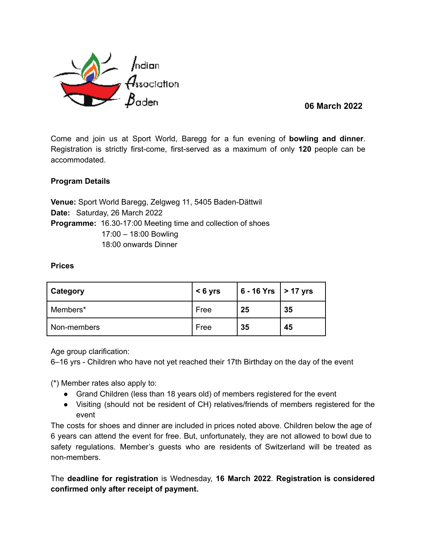

**06 March 2022**

Come and join us at Sport World, Baregg for a fun evening of **bowling and dinner**. Registration is strictly first-come, first-served as a maximum of only **120** people can be accommodated.

# **Program Details**

**Venue:** Sport World Baregg, Zelgweg 11, 5405 Baden-Dättwil **Date:** Saturday, 26 March 2022 **Programme:** 16.30-17:00 Meeting time and collection of shoes 17:00 – 18:00 Bowling 18:00 onwards Dinner

## **Prices**

| Category    | $< 6$ yrs | $  6 - 16$ Yrs $  > 17$ yrs |    |
|-------------|-----------|-----------------------------|----|
| Members*    | Free      | -25                         | 35 |
| Non-members | Free      | 35                          | 45 |

Age group clarification:

6–16 yrs - Children who have not yet reached their 17th Birthday on the day of the event

(\*) Member rates also apply to:

- Grand Children (less than 18 years old) of members registered for the event
- Visiting (should not be resident of CH) relatives/friends of members registered for the event

The costs for shoes and dinner are included in prices noted above. Children below the age of 6 years can attend the event for free. But, unfortunately, they are not allowed to bowl due to safety regulations. Member's guests who are residents of Switzerland will be treated as non-members.

The **deadline for registration** is Wednesday, **16 March 2022**. **Registration is considered confirmed only after receipt of payment.**